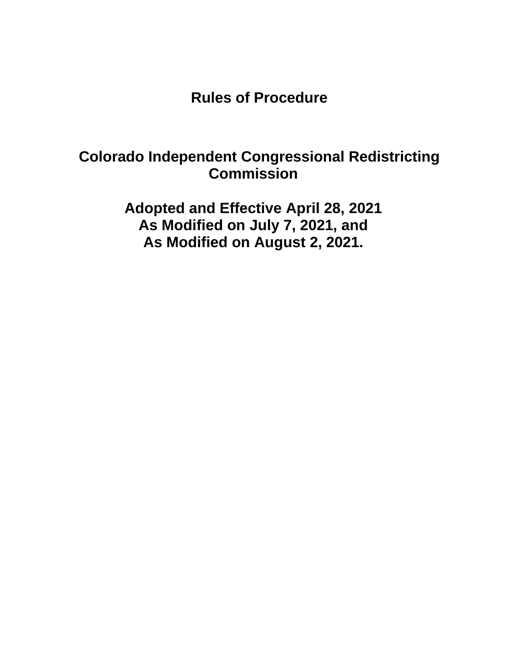**Rules of Procedure**

# **Colorado Independent Congressional Redistricting Commission**

**Adopted and Effective April 28, 2021 As Modified on July 7, 2021, and As Modified on August 2, 2021.**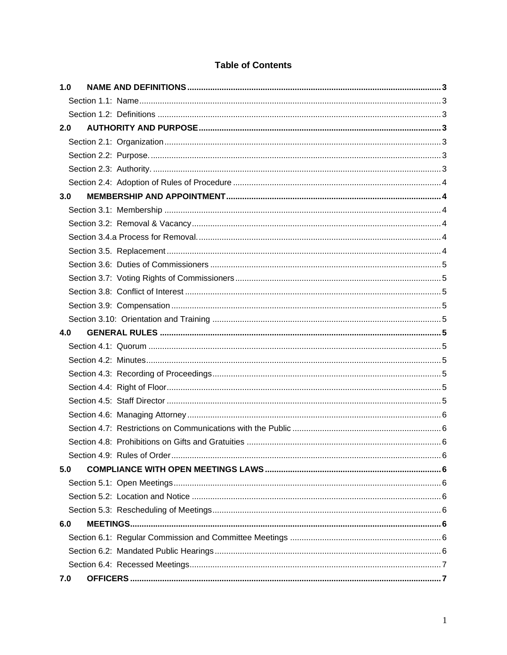# **Table of Contents**

| 1.0 |  |  |  |  |
|-----|--|--|--|--|
|     |  |  |  |  |
|     |  |  |  |  |
| 2.0 |  |  |  |  |
|     |  |  |  |  |
|     |  |  |  |  |
|     |  |  |  |  |
|     |  |  |  |  |
| 3.0 |  |  |  |  |
|     |  |  |  |  |
|     |  |  |  |  |
|     |  |  |  |  |
|     |  |  |  |  |
|     |  |  |  |  |
|     |  |  |  |  |
|     |  |  |  |  |
|     |  |  |  |  |
|     |  |  |  |  |
| 4.0 |  |  |  |  |
|     |  |  |  |  |
|     |  |  |  |  |
|     |  |  |  |  |
|     |  |  |  |  |
|     |  |  |  |  |
|     |  |  |  |  |
|     |  |  |  |  |
|     |  |  |  |  |
|     |  |  |  |  |
| 5.0 |  |  |  |  |
|     |  |  |  |  |
|     |  |  |  |  |
|     |  |  |  |  |
| 6.0 |  |  |  |  |
|     |  |  |  |  |
|     |  |  |  |  |
|     |  |  |  |  |
| 7.0 |  |  |  |  |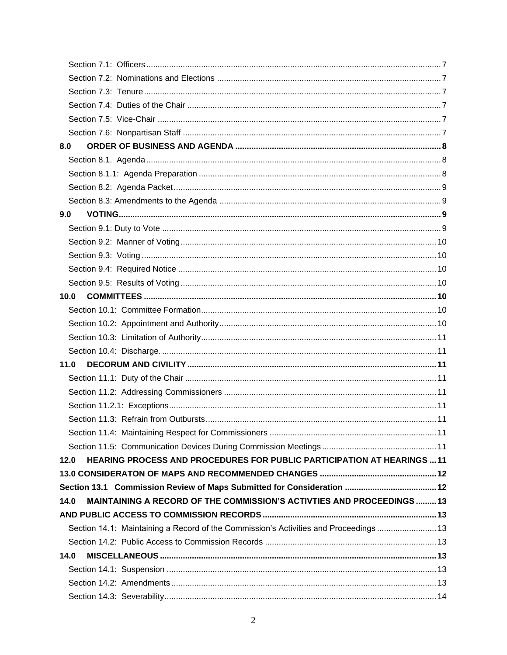| 8.0                                                                                  |  |
|--------------------------------------------------------------------------------------|--|
|                                                                                      |  |
|                                                                                      |  |
|                                                                                      |  |
|                                                                                      |  |
| 9.0                                                                                  |  |
|                                                                                      |  |
|                                                                                      |  |
|                                                                                      |  |
|                                                                                      |  |
|                                                                                      |  |
| 10.0                                                                                 |  |
|                                                                                      |  |
|                                                                                      |  |
|                                                                                      |  |
|                                                                                      |  |
| 11.0                                                                                 |  |
|                                                                                      |  |
|                                                                                      |  |
|                                                                                      |  |
|                                                                                      |  |
|                                                                                      |  |
|                                                                                      |  |
| HEARING PROCESS AND PROCEDURES FOR PUBLIC PARTICIPATION AT HEARINGS  11<br>12.0      |  |
|                                                                                      |  |
|                                                                                      |  |
| MAINTAINING A RECORD OF THE COMMISSION'S ACTIVTIES AND PROCEEDINGS13<br>14.0         |  |
|                                                                                      |  |
| Section 14.1: Maintaining a Record of the Commission's Activities and Proceedings 13 |  |
|                                                                                      |  |
| 14.0                                                                                 |  |
|                                                                                      |  |
|                                                                                      |  |
|                                                                                      |  |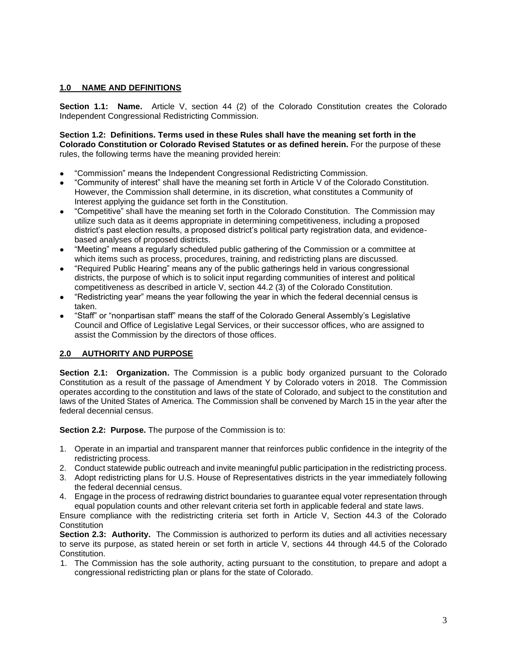#### **1.0 NAME AND DEFINITIONS**

**Section 1.1: Name.** Article V, section 44 (2) of the Colorado Constitution creates the Colorado Independent Congressional Redistricting Commission.

**Section 1.2: Definitions. Terms used in these Rules shall have the meaning set forth in the Colorado Constitution or Colorado Revised Statutes or as defined herein.** For the purpose of these rules, the following terms have the meaning provided herein:

- "Commission" means the Independent Congressional Redistricting Commission.
- "Community of interest" shall have the meaning set forth in Article V of the Colorado Constitution. However, the Commission shall determine, in its discretion, what constitutes a Community of Interest applying the guidance set forth in the Constitution.
- "Competitive" shall have the meaning set forth in the Colorado Constitution. The Commission may utilize such data as it deems appropriate in determining competitiveness, including a proposed district's past election results, a proposed district's political party registration data, and evidencebased analyses of proposed districts.
- "Meeting" means a regularly scheduled public gathering of the Commission or a committee at which items such as process, procedures, training, and redistricting plans are discussed.
- "Required Public Hearing" means any of the public gatherings held in various congressional districts, the purpose of which is to solicit input regarding communities of interest and political competitiveness as described in article V, section 44.2 (3) of the Colorado Constitution.
- "Redistricting year" means the year following the year in which the federal decennial census is taken.
- "Staff" or "nonpartisan staff" means the staff of the Colorado General Assembly's Legislative Council and Office of Legislative Legal Services, or their successor offices, who are assigned to assist the Commission by the directors of those offices.

#### **2.0 AUTHORITY AND PURPOSE**

**Section 2.1: Organization.** The Commission is a public body organized pursuant to the Colorado Constitution as a result of the passage of Amendment Y by Colorado voters in 2018. The Commission operates according to the constitution and laws of the state of Colorado, and subject to the constitution and laws of the United States of America. The Commission shall be convened by March 15 in the year after the federal decennial census.

**Section 2.2: Purpose.** The purpose of the Commission is to:

- 1. Operate in an impartial and transparent manner that reinforces public confidence in the integrity of the redistricting process.
- 2. Conduct statewide public outreach and invite meaningful public participation in the redistricting process.
- 3. Adopt redistricting plans for U.S. House of Representatives districts in the year immediately following the federal decennial census.
- 4. Engage in the process of redrawing district boundaries to guarantee equal voter representation through equal population counts and other relevant criteria set forth in applicable federal and state laws.

Ensure compliance with the redistricting criteria set forth in Article V, Section 44.3 of the Colorado **Constitution** 

**Section 2.3: Authority.** The Commission is authorized to perform its duties and all activities necessary to serve its purpose, as stated herein or set forth in article V, sections 44 through 44.5 of the Colorado Constitution.

1. The Commission has the sole authority, acting pursuant to the constitution, to prepare and adopt a congressional redistricting plan or plans for the state of Colorado.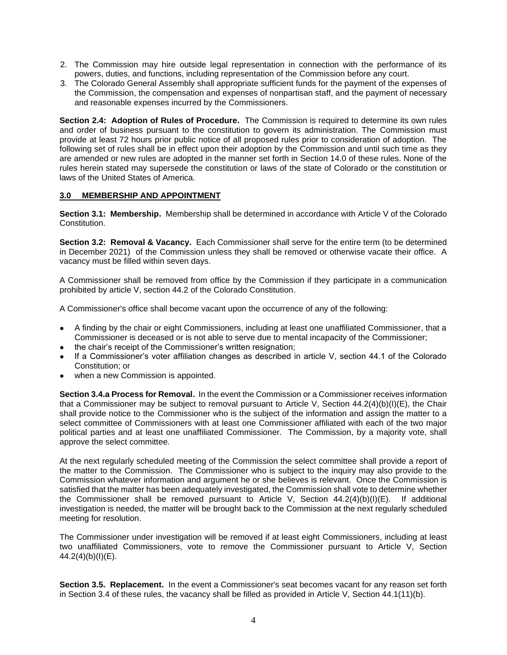- 2. The Commission may hire outside legal representation in connection with the performance of its powers, duties, and functions, including representation of the Commission before any court.
- 3. The Colorado General Assembly shall appropriate sufficient funds for the payment of the expenses of the Commission, the compensation and expenses of nonpartisan staff, and the payment of necessary and reasonable expenses incurred by the Commissioners.

**Section 2.4: Adoption of Rules of Procedure.** The Commission is required to determine its own rules and order of business pursuant to the constitution to govern its administration. The Commission must provide at least 72 hours prior public notice of all proposed rules prior to consideration of adoption. The following set of rules shall be in effect upon their adoption by the Commission and until such time as they are amended or new rules are adopted in the manner set forth in Section 14.0 of these rules. None of the rules herein stated may supersede the constitution or laws of the state of Colorado or the constitution or laws of the United States of America.

#### **3.0 MEMBERSHIP AND APPOINTMENT**

**Section 3.1: Membership.** Membership shall be determined in accordance with Article V of the Colorado Constitution.

**Section 3.2: Removal & Vacancy.** Each Commissioner shall serve for the entire term (to be determined in December 2021) of the Commission unless they shall be removed or otherwise vacate their office. A vacancy must be filled within seven days.

A Commissioner shall be removed from office by the Commission if they participate in a communication prohibited by article V, section 44.2 of the Colorado Constitution.

A Commissioner's office shall become vacant upon the occurrence of any of the following:

- A finding by the chair or eight Commissioners, including at least one unaffiliated Commissioner, that a Commissioner is deceased or is not able to serve due to mental incapacity of the Commissioner;
- the chair's receipt of the Commissioner's written resignation;
- If a Commissioner's voter affiliation changes as described in article V, section 44.1 of the Colorado Constitution; or
- when a new Commission is appointed.

**Section 3.4.a Process for Removal.** In the event the Commission or a Commissioner receives information that a Commissioner may be subject to removal pursuant to Article V, Section  $44.2(4)(b)(l)(E)$ , the Chair shall provide notice to the Commissioner who is the subject of the information and assign the matter to a select committee of Commissioners with at least one Commissioner affiliated with each of the two major political parties and at least one unaffiliated Commissioner. The Commission, by a majority vote, shall approve the select committee.

At the next regularly scheduled meeting of the Commission the select committee shall provide a report of the matter to the Commission. The Commissioner who is subject to the inquiry may also provide to the Commission whatever information and argument he or she believes is relevant. Once the Commission is satisfied that the matter has been adequately investigated, the Commission shall vote to determine whether the Commissioner shall be removed pursuant to Article V, Section 44.2(4)(b)(I)(E). If additional investigation is needed, the matter will be brought back to the Commission at the next regularly scheduled meeting for resolution.

The Commissioner under investigation will be removed if at least eight Commissioners, including at least two unaffiliated Commissioners, vote to remove the Commissioner pursuant to Article V, Section 44.2(4)(b)(I)(E).

**Section 3.5. Replacement.** In the event a Commissioner's seat becomes vacant for any reason set forth in Section 3.4 of these rules, the vacancy shall be filled as provided in Article V, Section 44.1(11)(b).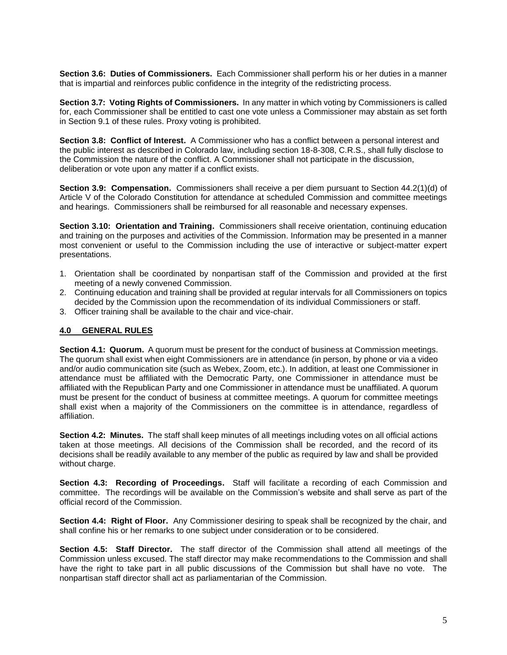**Section 3.6: Duties of Commissioners.** Each Commissioner shall perform his or her duties in a manner that is impartial and reinforces public confidence in the integrity of the redistricting process.

**Section 3.7: Voting Rights of Commissioners.** In any matter in which voting by Commissioners is called for, each Commissioner shall be entitled to cast one vote unless a Commissioner may abstain as set forth in Section 9.1 of these rules. Proxy voting is prohibited.

**Section 3.8: Conflict of Interest.** A Commissioner who has a conflict between a personal interest and the public interest as described in Colorado law, including section 18-8-308, C.R.S., shall fully disclose to the Commission the nature of the conflict. A Commissioner shall not participate in the discussion, deliberation or vote upon any matter if a conflict exists.

**Section 3.9: Compensation.** Commissioners shall receive a per diem pursuant to Section 44.2(1)(d) of Article V of the Colorado Constitution for attendance at scheduled Commission and committee meetings and hearings. Commissioners shall be reimbursed for all reasonable and necessary expenses.

**Section 3.10: Orientation and Training.** Commissioners shall receive orientation, continuing education and training on the purposes and activities of the Commission. Information may be presented in a manner most convenient or useful to the Commission including the use of interactive or subject-matter expert presentations.

- 1. Orientation shall be coordinated by nonpartisan staff of the Commission and provided at the first meeting of a newly convened Commission.
- 2. Continuing education and training shall be provided at regular intervals for all Commissioners on topics decided by the Commission upon the recommendation of its individual Commissioners or staff.
- 3. Officer training shall be available to the chair and vice-chair.

#### **4.0 GENERAL RULES**

**Section 4.1: Quorum.** A quorum must be present for the conduct of business at Commission meetings. The quorum shall exist when eight Commissioners are in attendance (in person, by phone or via a video and/or audio communication site (such as Webex, Zoom, etc.). In addition, at least one Commissioner in attendance must be affiliated with the Democratic Party, one Commissioner in attendance must be affiliated with the Republican Party and one Commissioner in attendance must be unaffiliated. A quorum must be present for the conduct of business at committee meetings. A quorum for committee meetings shall exist when a majority of the Commissioners on the committee is in attendance, regardless of affiliation.

**Section 4.2: Minutes.** The staff shall keep minutes of all meetings including votes on all official actions taken at those meetings. All decisions of the Commission shall be recorded, and the record of its decisions shall be readily available to any member of the public as required by law and shall be provided without charge.

**Section 4.3: Recording of Proceedings.** Staff will facilitate a recording of each Commission and committee. The recordings will be available on the Commission's website and shall serve as part of the official record of the Commission.

**Section 4.4: Right of Floor.** Any Commissioner desiring to speak shall be recognized by the chair, and shall confine his or her remarks to one subject under consideration or to be considered.

**Section 4.5: Staff Director.** The staff director of the Commission shall attend all meetings of the Commission unless excused. The staff director may make recommendations to the Commission and shall have the right to take part in all public discussions of the Commission but shall have no vote. The nonpartisan staff director shall act as parliamentarian of the Commission.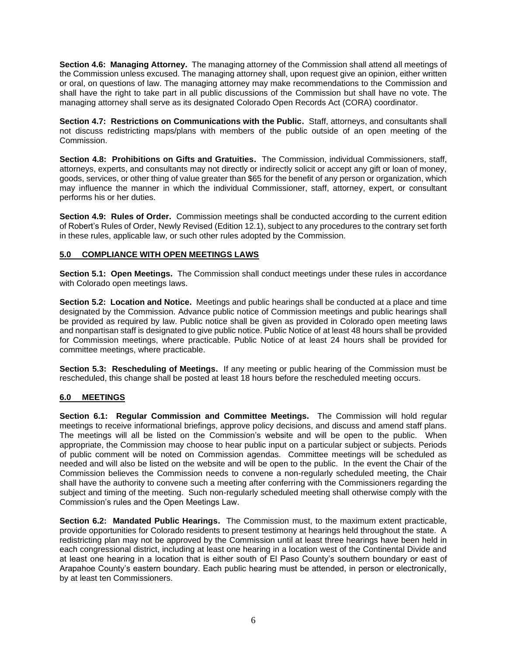**Section 4.6: Managing Attorney.** The managing attorney of the Commission shall attend all meetings of the Commission unless excused. The managing attorney shall, upon request give an opinion, either written or oral, on questions of law. The managing attorney may make recommendations to the Commission and shall have the right to take part in all public discussions of the Commission but shall have no vote. The managing attorney shall serve as its designated Colorado Open Records Act (CORA) coordinator.

**Section 4.7: Restrictions on Communications with the Public.** Staff, attorneys, and consultants shall not discuss redistricting maps/plans with members of the public outside of an open meeting of the Commission.

**Section 4.8: Prohibitions on Gifts and Gratuities.** The Commission, individual Commissioners, staff, attorneys, experts, and consultants may not directly or indirectly solicit or accept any gift or loan of money, goods, services, or other thing of value greater than \$65 for the benefit of any person or organization, which may influence the manner in which the individual Commissioner, staff, attorney, expert, or consultant performs his or her duties.

**Section 4.9: Rules of Order.** Commission meetings shall be conducted according to the current edition of Robert's Rules of Order, Newly Revised (Edition 12.1), subject to any procedures to the contrary set forth in these rules, applicable law, or such other rules adopted by the Commission.

# **5.0 COMPLIANCE WITH OPEN MEETINGS LAWS**

**Section 5.1: Open Meetings.** The Commission shall conduct meetings under these rules in accordance with Colorado open meetings laws.

**Section 5.2: Location and Notice.** Meetings and public hearings shall be conducted at a place and time designated by the Commission. Advance public notice of Commission meetings and public hearings shall be provided as required by law. Public notice shall be given as provided in Colorado open meeting laws and nonpartisan staff is designated to give public notice. Public Notice of at least 48 hours shall be provided for Commission meetings, where practicable. Public Notice of at least 24 hours shall be provided for committee meetings, where practicable.

**Section 5.3: Rescheduling of Meetings.** If any meeting or public hearing of the Commission must be rescheduled, this change shall be posted at least 18 hours before the rescheduled meeting occurs.

#### **6.0 MEETINGS**

**Section 6.1: Regular Commission and Committee Meetings.** The Commission will hold regular meetings to receive informational briefings, approve policy decisions, and discuss and amend staff plans. The meetings will all be listed on the Commission's website and will be open to the public. When appropriate, the Commission may choose to hear public input on a particular subject or subjects. Periods of public comment will be noted on Commission agendas. Committee meetings will be scheduled as needed and will also be listed on the website and will be open to the public. In the event the Chair of the Commission believes the Commission needs to convene a non-regularly scheduled meeting, the Chair shall have the authority to convene such a meeting after conferring with the Commissioners regarding the subject and timing of the meeting. Such non-regularly scheduled meeting shall otherwise comply with the Commission's rules and the Open Meetings Law.

**Section 6.2: Mandated Public Hearings.** The Commission must, to the maximum extent practicable, provide opportunities for Colorado residents to present testimony at hearings held throughout the state. A redistricting plan may not be approved by the Commission until at least three hearings have been held in each congressional district, including at least one hearing in a location west of the Continental Divide and at least one hearing in a location that is either south of El Paso County's southern boundary or east of Arapahoe County's eastern boundary. Each public hearing must be attended, in person or electronically, by at least ten Commissioners.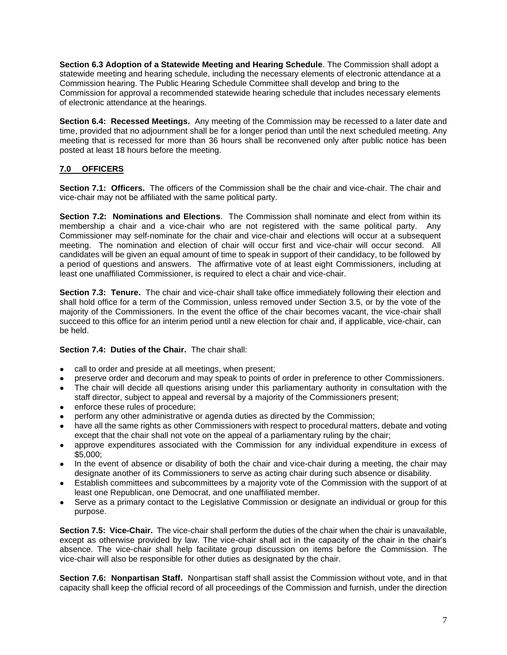**Section 6.3 Adoption of a Statewide Meeting and Hearing Schedule**. The Commission shall adopt a statewide meeting and hearing schedule, including the necessary elements of electronic attendance at a Commission hearing. The Public Hearing Schedule Committee shall develop and bring to the Commission for approval a recommended statewide hearing schedule that includes necessary elements of electronic attendance at the hearings.

**Section 6.4: Recessed Meetings.** Any meeting of the Commission may be recessed to a later date and time, provided that no adjournment shall be for a longer period than until the next scheduled meeting. Any meeting that is recessed for more than 36 hours shall be reconvened only after public notice has been posted at least 18 hours before the meeting.

# **7.0 OFFICERS**

**Section 7.1: Officers.** The officers of the Commission shall be the chair and vice-chair. The chair and vice-chair may not be affiliated with the same political party.

**Section 7.2: Nominations and Elections**. The Commission shall nominate and elect from within its membership a chair and a vice-chair who are not registered with the same political party. Any Commissioner may self-nominate for the chair and vice-chair and elections will occur at a subsequent meeting. The nomination and election of chair will occur first and vice-chair will occur second. All candidates will be given an equal amount of time to speak in support of their candidacy, to be followed by a period of questions and answers. The affirmative vote of at least eight Commissioners, including at least one unaffiliated Commissioner, is required to elect a chair and vice-chair.

**Section 7.3: Tenure.** The chair and vice-chair shall take office immediately following their election and shall hold office for a term of the Commission, unless removed under Section 3.5, or by the vote of the majority of the Commissioners. In the event the office of the chair becomes vacant, the vice-chair shall succeed to this office for an interim period until a new election for chair and, if applicable, vice-chair, can be held.

#### **Section 7.4: Duties of the Chair.** The chair shall:

- call to order and preside at all meetings, when present;
- preserve order and decorum and may speak to points of order in preference to other Commissioners.
- The chair will decide all questions arising under this parliamentary authority in consultation with the staff director, subject to appeal and reversal by a majority of the Commissioners present;
- enforce these rules of procedure;
- perform any other administrative or agenda duties as directed by the Commission;
- have all the same rights as other Commissioners with respect to procedural matters, debate and voting except that the chair shall not vote on the appeal of a parliamentary ruling by the chair;
- approve expenditures associated with the Commission for any individual expenditure in excess of \$5,000;
- In the event of absence or disability of both the chair and vice-chair during a meeting, the chair may designate another of its Commissioners to serve as acting chair during such absence or disability.
- Establish committees and subcommittees by a majority vote of the Commission with the support of at least one Republican, one Democrat, and one unaffiliated member.
- Serve as a primary contact to the Legislative Commission or designate an individual or group for this purpose.

**Section 7.5: Vice-Chair.** The vice-chair shall perform the duties of the chair when the chair is unavailable, except as otherwise provided by law. The vice-chair shall act in the capacity of the chair in the chair's absence. The vice-chair shall help facilitate group discussion on items before the Commission. The vice-chair will also be responsible for other duties as designated by the chair.

**Section 7.6: Nonpartisan Staff.** Nonpartisan staff shall assist the Commission without vote, and in that capacity shall keep the official record of all proceedings of the Commission and furnish, under the direction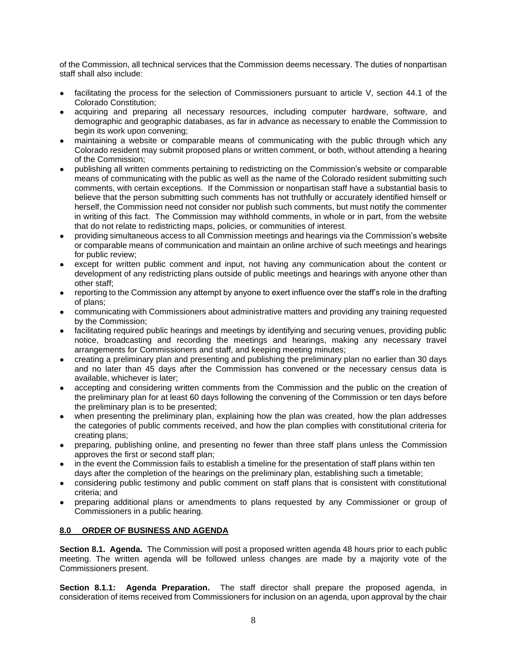of the Commission, all technical services that the Commission deems necessary. The duties of nonpartisan staff shall also include:

- facilitating the process for the selection of Commissioners pursuant to article V, section 44.1 of the Colorado Constitution;
- acquiring and preparing all necessary resources, including computer hardware, software, and demographic and geographic databases, as far in advance as necessary to enable the Commission to begin its work upon convening;
- maintaining a website or comparable means of communicating with the public through which any Colorado resident may submit proposed plans or written comment, or both, without attending a hearing of the Commission;
- publishing all written comments pertaining to redistricting on the Commission's website or comparable means of communicating with the public as well as the name of the Colorado resident submitting such comments, with certain exceptions. If the Commission or nonpartisan staff have a substantial basis to believe that the person submitting such comments has not truthfully or accurately identified himself or herself, the Commission need not consider nor publish such comments, but must notify the commenter in writing of this fact. The Commission may withhold comments, in whole or in part, from the website that do not relate to redistricting maps, policies, or communities of interest.
- providing simultaneous access to all Commission meetings and hearings via the Commission's website or comparable means of communication and maintain an online archive of such meetings and hearings for public review;
- except for written public comment and input, not having any communication about the content or development of any redistricting plans outside of public meetings and hearings with anyone other than other staff;
- reporting to the Commission any attempt by anyone to exert influence over the staff's role in the drafting of plans;
- communicating with Commissioners about administrative matters and providing any training requested by the Commission;
- facilitating required public hearings and meetings by identifying and securing venues, providing public notice, broadcasting and recording the meetings and hearings, making any necessary travel arrangements for Commissioners and staff, and keeping meeting minutes;
- creating a preliminary plan and presenting and publishing the preliminary plan no earlier than 30 days and no later than 45 days after the Commission has convened or the necessary census data is available, whichever is later;
- accepting and considering written comments from the Commission and the public on the creation of the preliminary plan for at least 60 days following the convening of the Commission or ten days before the preliminary plan is to be presented;
- when presenting the preliminary plan, explaining how the plan was created, how the plan addresses the categories of public comments received, and how the plan complies with constitutional criteria for creating plans;
- preparing, publishing online, and presenting no fewer than three staff plans unless the Commission approves the first or second staff plan;
- in the event the Commission fails to establish a timeline for the presentation of staff plans within ten days after the completion of the hearings on the preliminary plan, establishing such a timetable;
- considering public testimony and public comment on staff plans that is consistent with constitutional criteria; and
- preparing additional plans or amendments to plans requested by any Commissioner or group of Commissioners in a public hearing.

#### **8.0 ORDER OF BUSINESS AND AGENDA**

**Section 8.1. Agenda.** The Commission will post a proposed written agenda 48 hours prior to each public meeting. The written agenda will be followed unless changes are made by a majority vote of the Commissioners present.

**Section 8.1.1: Agenda Preparation.** The staff director shall prepare the proposed agenda, in consideration of items received from Commissioners for inclusion on an agenda, upon approval by the chair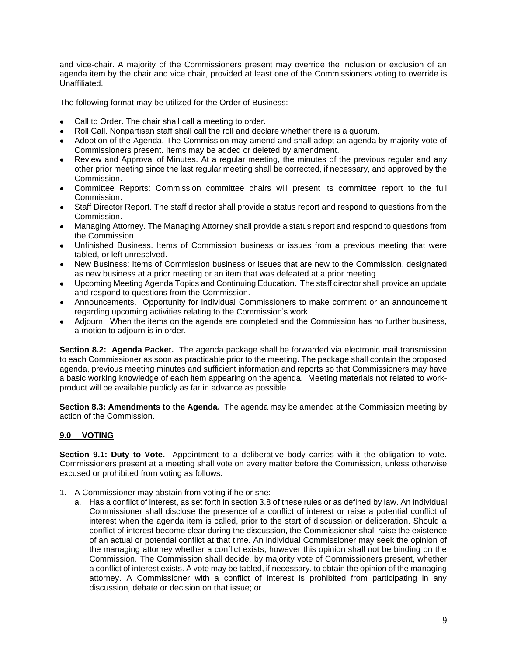and vice-chair. A majority of the Commissioners present may override the inclusion or exclusion of an agenda item by the chair and vice chair, provided at least one of the Commissioners voting to override is Unaffiliated.

The following format may be utilized for the Order of Business:

- Call to Order. The chair shall call a meeting to order.
- Roll Call. Nonpartisan staff shall call the roll and declare whether there is a quorum.
- Adoption of the Agenda. The Commission may amend and shall adopt an agenda by majority vote of Commissioners present. Items may be added or deleted by amendment.
- Review and Approval of Minutes. At a regular meeting, the minutes of the previous regular and any other prior meeting since the last regular meeting shall be corrected, if necessary, and approved by the Commission.
- Committee Reports: Commission committee chairs will present its committee report to the full Commission.
- Staff Director Report. The staff director shall provide a status report and respond to questions from the Commission.
- Managing Attorney. The Managing Attorney shall provide a status report and respond to questions from the Commission.
- Unfinished Business. Items of Commission business or issues from a previous meeting that were tabled, or left unresolved.
- New Business: Items of Commission business or issues that are new to the Commission, designated as new business at a prior meeting or an item that was defeated at a prior meeting.
- Upcoming Meeting Agenda Topics and Continuing Education. The staff director shall provide an update and respond to questions from the Commission.
- Announcements. Opportunity for individual Commissioners to make comment or an announcement regarding upcoming activities relating to the Commission's work.
- Adjourn. When the items on the agenda are completed and the Commission has no further business, a motion to adjourn is in order.

**Section 8.2: Agenda Packet.** The agenda package shall be forwarded via electronic mail transmission to each Commissioner as soon as practicable prior to the meeting. The package shall contain the proposed agenda, previous meeting minutes and sufficient information and reports so that Commissioners may have a basic working knowledge of each item appearing on the agenda. Meeting materials not related to workproduct will be available publicly as far in advance as possible.

**Section 8.3: Amendments to the Agenda.** The agenda may be amended at the Commission meeting by action of the Commission.

#### **9.0 VOTING**

**Section 9.1: Duty to Vote.** Appointment to a deliberative body carries with it the obligation to vote. Commissioners present at a meeting shall vote on every matter before the Commission, unless otherwise excused or prohibited from voting as follows:

- 1. A Commissioner may abstain from voting if he or she:
	- a. Has a conflict of interest, as set forth in section 3.8 of these rules or as defined by law. An individual Commissioner shall disclose the presence of a conflict of interest or raise a potential conflict of interest when the agenda item is called, prior to the start of discussion or deliberation. Should a conflict of interest become clear during the discussion, the Commissioner shall raise the existence of an actual or potential conflict at that time. An individual Commissioner may seek the opinion of the managing attorney whether a conflict exists, however this opinion shall not be binding on the Commission. The Commission shall decide, by majority vote of Commissioners present, whether a conflict of interest exists. A vote may be tabled, if necessary, to obtain the opinion of the managing attorney. A Commissioner with a conflict of interest is prohibited from participating in any discussion, debate or decision on that issue; or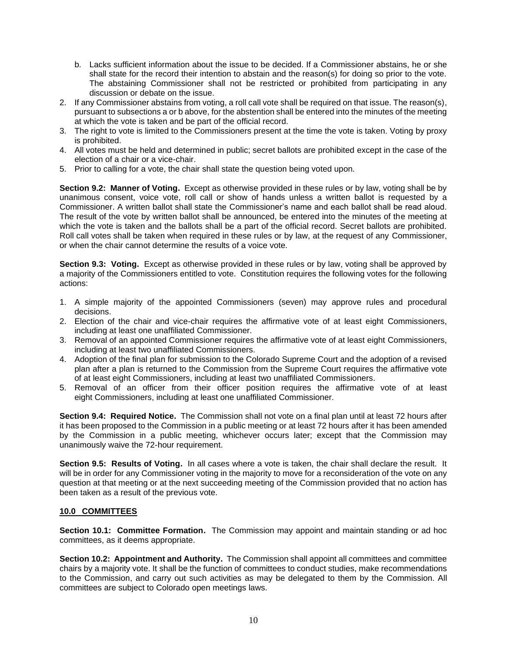- b. Lacks sufficient information about the issue to be decided. If a Commissioner abstains, he or she shall state for the record their intention to abstain and the reason(s) for doing so prior to the vote. The abstaining Commissioner shall not be restricted or prohibited from participating in any discussion or debate on the issue.
- 2. If any Commissioner abstains from voting, a roll call vote shall be required on that issue. The reason(s), pursuant to subsections a or b above, for the abstention shall be entered into the minutes of the meeting at which the vote is taken and be part of the official record.
- 3. The right to vote is limited to the Commissioners present at the time the vote is taken. Voting by proxy is prohibited.
- 4. All votes must be held and determined in public; secret ballots are prohibited except in the case of the election of a chair or a vice-chair.
- 5. Prior to calling for a vote, the chair shall state the question being voted upon.

**Section 9.2: Manner of Voting.** Except as otherwise provided in these rules or by law, voting shall be by unanimous consent, voice vote, roll call or show of hands unless a written ballot is requested by a Commissioner. A written ballot shall state the Commissioner's name and each ballot shall be read aloud. The result of the vote by written ballot shall be announced, be entered into the minutes of the meeting at which the vote is taken and the ballots shall be a part of the official record. Secret ballots are prohibited. Roll call votes shall be taken when required in these rules or by law, at the request of any Commissioner, or when the chair cannot determine the results of a voice vote.

**Section 9.3: Voting.** Except as otherwise provided in these rules or by law, voting shall be approved by a majority of the Commissioners entitled to vote. Constitution requires the following votes for the following actions:

- 1. A simple majority of the appointed Commissioners (seven) may approve rules and procedural decisions.
- 2. Election of the chair and vice-chair requires the affirmative vote of at least eight Commissioners, including at least one unaffiliated Commissioner.
- 3. Removal of an appointed Commissioner requires the affirmative vote of at least eight Commissioners, including at least two unaffiliated Commissioners.
- 4. Adoption of the final plan for submission to the Colorado Supreme Court and the adoption of a revised plan after a plan is returned to the Commission from the Supreme Court requires the affirmative vote of at least eight Commissioners, including at least two unaffiliated Commissioners.
- 5. Removal of an officer from their officer position requires the affirmative vote of at least eight Commissioners, including at least one unaffiliated Commissioner.

**Section 9.4: Required Notice.** The Commission shall not vote on a final plan until at least 72 hours after it has been proposed to the Commission in a public meeting or at least 72 hours after it has been amended by the Commission in a public meeting, whichever occurs later; except that the Commission may unanimously waive the 72-hour requirement.

**Section 9.5: Results of Voting.** In all cases where a vote is taken, the chair shall declare the result. It will be in order for any Commissioner voting in the majority to move for a reconsideration of the vote on any question at that meeting or at the next succeeding meeting of the Commission provided that no action has been taken as a result of the previous vote.

#### **10.0 COMMITTEES**

**Section 10.1: Committee Formation.** The Commission may appoint and maintain standing or ad hoc committees, as it deems appropriate.

**Section 10.2: Appointment and Authority.** The Commission shall appoint all committees and committee chairs by a majority vote. It shall be the function of committees to conduct studies, make recommendations to the Commission, and carry out such activities as may be delegated to them by the Commission. All committees are subject to Colorado open meetings laws.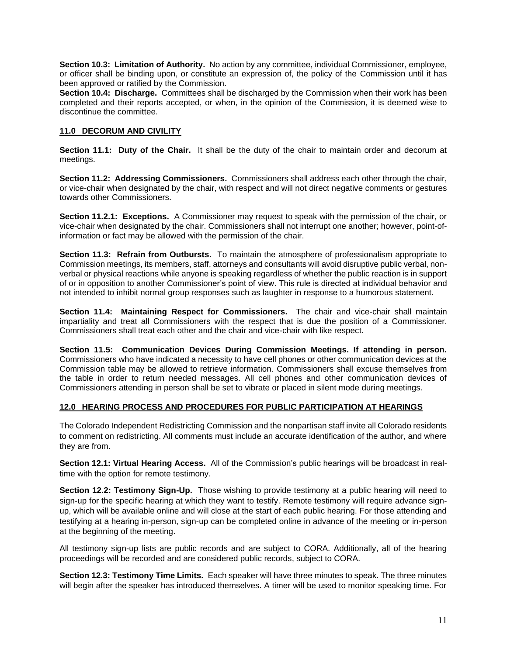**Section 10.3: Limitation of Authority.** No action by any committee, individual Commissioner, employee, or officer shall be binding upon, or constitute an expression of, the policy of the Commission until it has been approved or ratified by the Commission.

**Section 10.4: Discharge.** Committees shall be discharged by the Commission when their work has been completed and their reports accepted, or when, in the opinion of the Commission, it is deemed wise to discontinue the committee.

#### **11.0 DECORUM AND CIVILITY**

**Section 11.1: Duty of the Chair.** It shall be the duty of the chair to maintain order and decorum at meetings.

**Section 11.2: Addressing Commissioners.** Commissioners shall address each other through the chair, or vice-chair when designated by the chair, with respect and will not direct negative comments or gestures towards other Commissioners.

**Section 11.2.1: Exceptions.** A Commissioner may request to speak with the permission of the chair, or vice-chair when designated by the chair. Commissioners shall not interrupt one another; however, point-ofinformation or fact may be allowed with the permission of the chair.

**Section 11.3: Refrain from Outbursts.** To maintain the atmosphere of professionalism appropriate to Commission meetings, its members, staff, attorneys and consultants will avoid disruptive public verbal, nonverbal or physical reactions while anyone is speaking regardless of whether the public reaction is in support of or in opposition to another Commissioner's point of view. This rule is directed at individual behavior and not intended to inhibit normal group responses such as laughter in response to a humorous statement.

**Section 11.4: Maintaining Respect for Commissioners.** The chair and vice-chair shall maintain impartiality and treat all Commissioners with the respect that is due the position of a Commissioner. Commissioners shall treat each other and the chair and vice-chair with like respect.

**Section 11.5: Communication Devices During Commission Meetings. If attending in person.**  Commissioners who have indicated a necessity to have cell phones or other communication devices at the Commission table may be allowed to retrieve information. Commissioners shall excuse themselves from the table in order to return needed messages. All cell phones and other communication devices of Commissioners attending in person shall be set to vibrate or placed in silent mode during meetings.

#### **12.0 HEARING PROCESS AND PROCEDURES FOR PUBLIC PARTICIPATION AT HEARINGS**

The Colorado Independent Redistricting Commission and the nonpartisan staff invite all Colorado residents to comment on redistricting. All comments must include an accurate identification of the author, and where they are from.

**Section 12.1: Virtual Hearing Access.** All of the Commission's public hearings will be broadcast in realtime with the option for remote testimony.

**Section 12.2: Testimony Sign-Up.** Those wishing to provide testimony at a public hearing will need to sign-up for the specific hearing at which they want to testify. Remote testimony will require advance signup, which will be available online and will close at the start of each public hearing. For those attending and testifying at a hearing in-person, sign-up can be completed online in advance of the meeting or in-person at the beginning of the meeting.

All testimony sign-up lists are public records and are subject to CORA. Additionally, all of the hearing proceedings will be recorded and are considered public records, subject to CORA.

**Section 12.3: Testimony Time Limits.** Each speaker will have three minutes to speak. The three minutes will begin after the speaker has introduced themselves. A timer will be used to monitor speaking time. For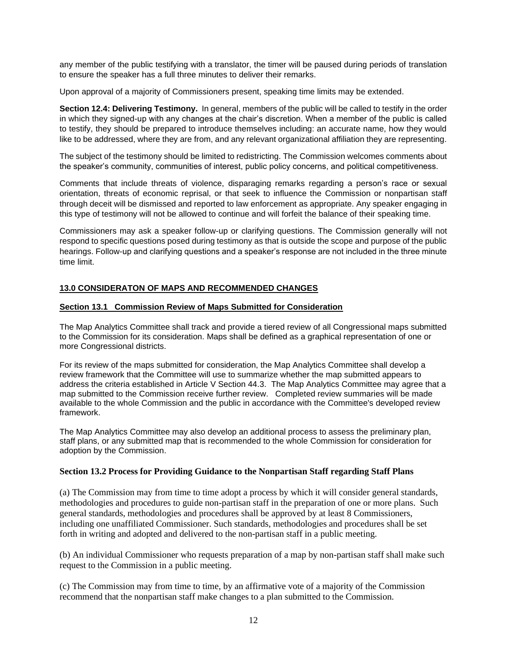any member of the public testifying with a translator, the timer will be paused during periods of translation to ensure the speaker has a full three minutes to deliver their remarks.

Upon approval of a majority of Commissioners present, speaking time limits may be extended.

**Section 12.4: Delivering Testimony.** In general, members of the public will be called to testify in the order in which they signed-up with any changes at the chair's discretion. When a member of the public is called to testify, they should be prepared to introduce themselves including: an accurate name, how they would like to be addressed, where they are from, and any relevant organizational affiliation they are representing.

The subject of the testimony should be limited to redistricting. The Commission welcomes comments about the speaker's community, communities of interest, public policy concerns, and political competitiveness.

Comments that include threats of violence, disparaging remarks regarding a person's race or sexual orientation, threats of economic reprisal, or that seek to influence the Commission or nonpartisan staff through deceit will be dismissed and reported to law enforcement as appropriate. Any speaker engaging in this type of testimony will not be allowed to continue and will forfeit the balance of their speaking time.

Commissioners may ask a speaker follow-up or clarifying questions. The Commission generally will not respond to specific questions posed during testimony as that is outside the scope and purpose of the public hearings. Follow-up and clarifying questions and a speaker's response are not included in the three minute time limit.

#### **13.0 CONSIDERATON OF MAPS AND RECOMMENDED CHANGES**

#### **Section 13.1 Commission Review of Maps Submitted for Consideration**

The Map Analytics Committee shall track and provide a tiered review of all Congressional maps submitted to the Commission for its consideration. Maps shall be defined as a graphical representation of one or more Congressional districts.

For its review of the maps submitted for consideration, the Map Analytics Committee shall develop a review framework that the Committee will use to summarize whether the map submitted appears to address the criteria established in Article V Section 44.3. The Map Analytics Committee may agree that a map submitted to the Commission receive further review. Completed review summaries will be made available to the whole Commission and the public in accordance with the Committee's developed review framework.

The Map Analytics Committee may also develop an additional process to assess the preliminary plan, staff plans, or any submitted map that is recommended to the whole Commission for consideration for adoption by the Commission.

#### **Section 13.2 Process for Providing Guidance to the Nonpartisan Staff regarding Staff Plans**

(a) The Commission may from time to time adopt a process by which it will consider general standards, methodologies and procedures to guide non-partisan staff in the preparation of one or more plans. Such general standards, methodologies and procedures shall be approved by at least 8 Commissioners, including one unaffiliated Commissioner. Such standards, methodologies and procedures shall be set forth in writing and adopted and delivered to the non-partisan staff in a public meeting.

(b) An individual Commissioner who requests preparation of a map by non-partisan staff shall make such request to the Commission in a public meeting.

(c) The Commission may from time to time, by an affirmative vote of a majority of the Commission recommend that the nonpartisan staff make changes to a plan submitted to the Commission.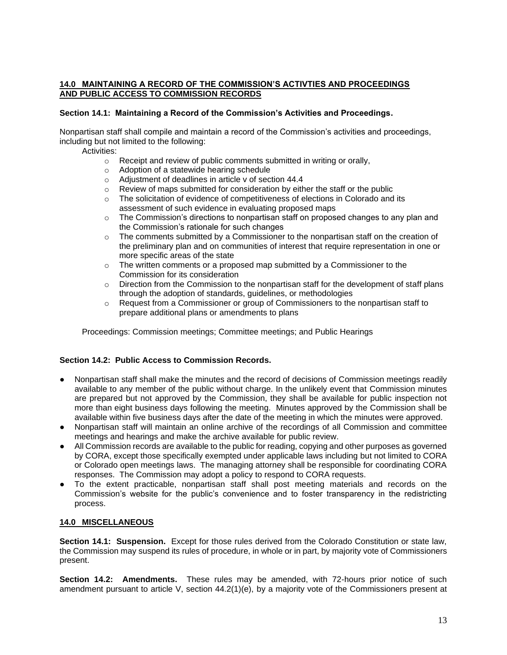#### **14.0 MAINTAINING A RECORD OF THE COMMISSION'S ACTIVTIES AND PROCEEDINGS AND PUBLIC ACCESS TO COMMISSION RECORDS**

#### **Section 14.1: Maintaining a Record of the Commission's Activities and Proceedings.**

Nonpartisan staff shall compile and maintain a record of the Commission's activities and proceedings, including but not limited to the following:

Activities:

- o Receipt and review of public comments submitted in writing or orally,
- o Adoption of a statewide hearing schedule
- o Adjustment of deadlines in article v of section 44.4
- $\circ$  Review of maps submitted for consideration by either the staff or the public
- $\circ$  The solicitation of evidence of competitiveness of elections in Colorado and its assessment of such evidence in evaluating proposed maps
- $\circ$  The Commission's directions to nonpartisan staff on proposed changes to any plan and the Commission's rationale for such changes
- o The comments submitted by a Commissioner to the nonpartisan staff on the creation of the preliminary plan and on communities of interest that require representation in one or more specific areas of the state
- o The written comments or a proposed map submitted by a Commissioner to the Commission for its consideration
- $\circ$  Direction from the Commission to the nonpartisan staff for the development of staff plans through the adoption of standards, guidelines, or methodologies
- $\circ$  Request from a Commissioner or group of Commissioners to the nonpartisan staff to prepare additional plans or amendments to plans

Proceedings: Commission meetings; Committee meetings; and Public Hearings

#### **Section 14.2: Public Access to Commission Records.**

- Nonpartisan staff shall make the minutes and the record of decisions of Commission meetings readily available to any member of the public without charge. In the unlikely event that Commission minutes are prepared but not approved by the Commission, they shall be available for public inspection not more than eight business days following the meeting. Minutes approved by the Commission shall be available within five business days after the date of the meeting in which the minutes were approved.
- Nonpartisan staff will maintain an online archive of the recordings of all Commission and committee meetings and hearings and make the archive available for public review.
- All Commission records are available to the public for reading, copying and other purposes as governed by CORA, except those specifically exempted under applicable laws including but not limited to CORA or Colorado open meetings laws. The managing attorney shall be responsible for coordinating CORA responses. The Commission may adopt a policy to respond to CORA requests.
- To the extent practicable, nonpartisan staff shall post meeting materials and records on the Commission's website for the public's convenience and to foster transparency in the redistricting process.

### **14.0 MISCELLANEOUS**

**Section 14.1: Suspension.** Except for those rules derived from the Colorado Constitution or state law, the Commission may suspend its rules of procedure, in whole or in part, by majority vote of Commissioners present.

**Section 14.2: Amendments.** These rules may be amended, with 72-hours prior notice of such amendment pursuant to article V, section 44.2(1)(e), by a majority vote of the Commissioners present at